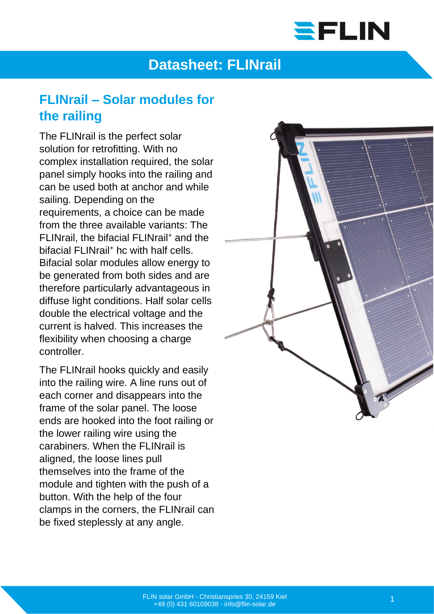# SFLIN

## **Datasheet: FLINrail**

#### **FLINrail – Solar modules for the railing**

The FLINrail is the perfect solar solution for retrofitting. With no complex installation required, the solar panel simply hooks into the railing and can be used both at anchor and while sailing. Depending on the requirements, a choice can be made from the three available variants: The FLINrail, the bifacial FLINrail<sup>+</sup> and the bifacial FLINrail<sup>+</sup> hc with half cells. Bifacial solar modules allow energy to be generated from both sides and are therefore particularly advantageous in diffuse light conditions. Half solar cells double the electrical voltage and the current is halved. This increases the flexibility when choosing a charge controller.

The FLINrail hooks quickly and easily into the railing wire. A line runs out of each corner and disappears into the frame of the solar panel. The loose ends are hooked into the foot railing or the lower railing wire using the carabiners. When the FLINrail is aligned, the loose lines pull themselves into the frame of the module and tighten with the push of a button. With the help of the four clamps in the corners, the FLINrail can be fixed steplessly at any angle.